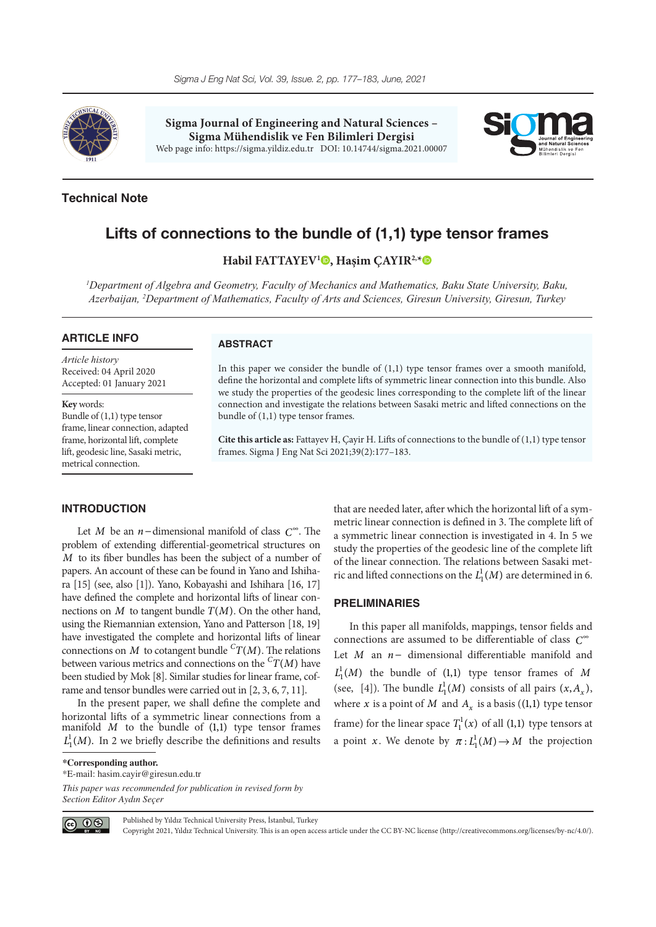

**Sigma Journal of Engineering and Natural Sciences – Sigma Mühendislik ve Fen Bilimleri Dergisi** Web page info: https://sigma.yildiz.edu.tr DOI: 10.14744/sigma.2021.00007



# **Technical Note**

# **Lifts of connections to the bundle of (1,1) type tensor frames**

**Habil FATTAYEV1 [,](https://orcid.org/0000-0003-0861-3904) Haşim ÇAYIR2,[\\*](https://orcid.org/0000-0003-0348-8665)**

*1 Department of Algebra and Geometry, Faculty of Mechanics and Mathematics, Baku State University, Baku, Azerbaijan, 2 Department of Mathematics, Faculty of Arts and Sciences, Giresun University, Giresun, Turkey*

### **ARTICLE INFO**

*Article history* Received: 04 April 2020 Accepted: 01 January 2021

#### **Key** words:

Bundle of (1,1) type tensor frame, linear connection, adapted frame, horizontal lift, complete lift, geodesic line, Sasaki metric, metrical connection.

### **ABSTRACT**

In this paper we consider the bundle of (1,1) type tensor frames over a smooth manifold, define the horizontal and complete lifts of symmetric linear connection into this bundle. Also we study the properties of the geodesic lines corresponding to the complete lift of the linear connection and investigate the relations between Sasaki metric and lifted connections on the bundle of (1,1) type tensor frames.

**Cite this article as:** Fattayev H, Çayir H. Lifts of connections to the bundle of (1,1) type tensor frames. Sigma J Eng Nat Sci 2021;39(2):177–183.

### **INTRODUCTION**

Let *M* be an *n* −dimensional manifold of class *C*<sup>∞</sup>. The problem of extending differential-geometrical structures on *M* to its fiber bundles has been the subject of a number of papers. An account of these can be found in Yano and Ishihara [15] (see, also [1]). Yano, Kobayashi and Ishihara [16, 17] have defined the complete and horizontal lifts of linear connections on  $M$  to tangent bundle  $T(M)$ . On the other hand, using the Riemannian extension, Yano and Patterson [18, 19] have investigated the complete and horizontal lifts of linear connections on *M* to cotangent bundle  ${}^{C}T(M)$ . The relations between various metrics and connections on the  ${}^{C}T(M)$  have been studied by Mok [8]. Similar studies for linear frame, coframe and tensor bundles were carried out in [2, 3, 6, 7, 11].

In the present paper, we shall define the complete and horizontal lifts of a symmetric linear connections from a manifold  $M$  to the bundle of  $(1,1)$  type tensor frames  $L^1_1(M)$ . In 2 we briefly describe the definitions and results

#### **\*Corresponding author.**

\*E-mail: hasim.cayir@giresun.edu.tr *This paper was recommended for publication in revised form by Section Editor Aydın Seçer*

that are needed later, after which the horizontal lift of a symmetric linear connection is defined in 3. The complete lift of a symmetric linear connection is investigated in 4. In 5 we study the properties of the geodesic line of the complete lift of the linear connection. The relations between Sasaki metric and lifted connections on the  $L_1^1(M)$  are determined in 6.

### **PRELIMINARIES**

In this paper all manifolds, mappings, tensor fields and connections are assumed to be differentiable of class *C*<sup>∞</sup> Let *M* an *n* − dimensional differentiable manifold and  $L_1^1(M)$  the bundle of (1,1) type tensor frames of M (see, [4]). The bundle  $L^1_1(M)$  consists of all pairs  $(x, A_x)$ , where *x* is a point of *M* and  $A_r$  is a basis ((1,1) type tensor frame) for the linear space  $T_1^1(x)$  of all (1,1) type tensors at a point *x*. We denote by  $\pi: L^1_1(M) \to M$  the projection

 $\circledcirc$   $\circledcirc$ 

Published by Yıldız Technical University Press, İstanbul, Turkey

Copyright 2021, Yıldız Technical University. This is an open access article under the CC BY-NC license (http://creativecommons.org/licenses/by-nc/4.0/).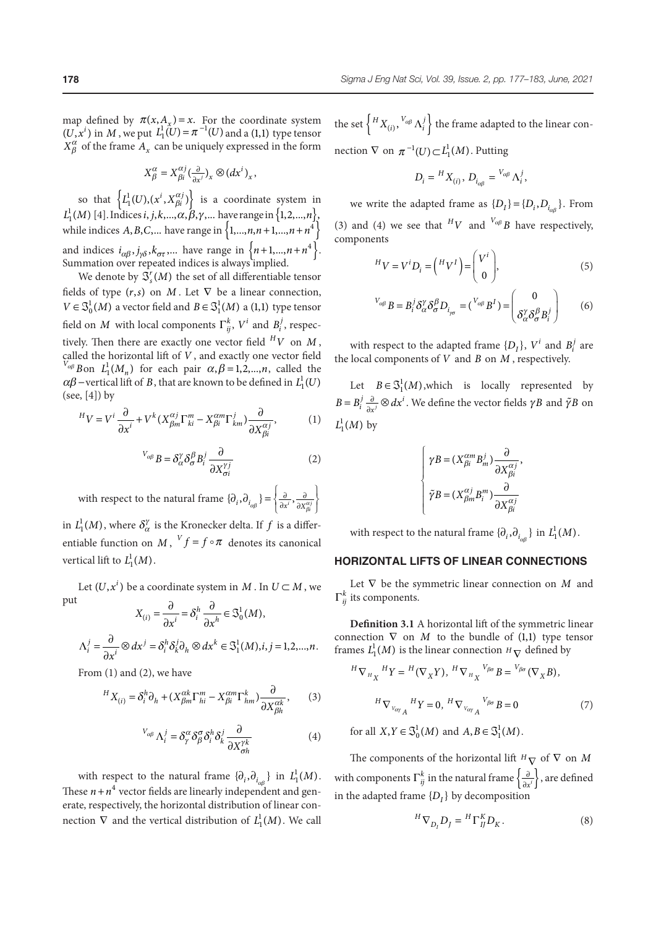map defined by  $\pi(x, A_x) = x$ . For the coordinate system  $(U, x<sup>i</sup>)$  in *M*, we put  $L_1^1(U) = \pi^{-1}(U)$  and a (1,1) type tensor  $X_{\beta}^{\alpha}$  of the frame  $A_x$  can be uniquely expressed in the form

$$
X^{\alpha}_{\beta}=X^{\alpha j}_{\beta i}(\tfrac{\partial}{\partial x^j})_x\otimes(dx^i)_x,
$$

so that  $\left\{L_1^1(U), (x^i, X_{\beta i}^{\alpha})\right\}$  $\left\{L_1^1(U), (x^i, X_{\beta i}^{\alpha j})\right\}$  is a coordinate system in  $L^1_1(M)$  [4]. Indices  $i, j, k, ..., α, β, γ, ...$  have range in  $\big\{1, 2, ..., n\big\}$ while indices *A*, *B*, *C*,... have range in  $\{1, ..., n, n+1, ..., n+n^4\}$ and indices  $i_{\alpha\beta}, j_{\gamma\delta}, k_{\sigma\tau}, ...$  have range in  $\{n+1, ..., n+n^4\}$ . Summation over repeated indices is always implied.

We denote by  $\mathfrak{I}_s^r(M)$  the set of all differentiable tensor fields of type  $(r, s)$  on *M*. Let  $\nabla$  be a linear connection,  $V \in \mathfrak{S}^1_0(M)$  a vector field and  $B \in \mathfrak{S}^1_1(M)$  a (1,1) type tensor field on *M* with local components  $\Gamma_{ij}^k$ ,  $V^i$  and  $B_i^j$ , respectively. Then there are exactly one vector field *HV* on *M* , called the horizontal lift of *V*, and exactly one vector field *V*<sub>*aβ*</sub> *B* on *L*<sub>1</sub>(*M<sub>n</sub>*) for each pair  $\alpha$ ,  $\beta$  =1,2,...,*n*, called the  $\alpha\beta$  – vertical lift of *B*, that are known to be defined in  $L_1^1(U)$ (see, [4]) by

$$
{}^{H}V = V^{i}\frac{\partial}{\partial x^{i}} + V^{k}(X_{\beta m}^{\alpha j} \Gamma_{ki}^{m} - X_{\beta i}^{\alpha m} \Gamma_{km}^{j})\frac{\partial}{\partial X_{\beta i}^{\alpha j}},
$$
 (1)

$$
V_{\alpha\beta} B = \delta_{\alpha}^{\gamma} \delta_{\sigma}^{\beta} B_{i}^{j} \frac{\partial}{\partial X_{\sigma i}^{\gamma j}}
$$
 (2)

with respect to the natural frame  $\{\partial_i, \partial_{i_{\alpha\beta}}\} = \begin{cases} \frac{\partial}{\partial x^i}, \end{cases}$  $\left\{\begin{array}{c} \phantom{a} \\ \phantom{a} \end{array}\right\}$ ∂ ∂  $\{i,\partial_{i_{\alpha\beta}}\} = \left\{\frac{\partial}{\partial x^{i}},\frac{\partial}{\partial X_{\beta i}^{\alpha j}}\right\}$ 

in  $L^1_1(M)$  , where  $\delta_\alpha^\gamma$  is the Kronecker delta. If  $f$  is a differentiable function on *M*,  $V_f = f \circ \pi$  denotes its canonical vertical lift to  $L^1_1(M)$ .

Let  $(U, x^i)$  be a coordinate system in  $M$  . In  $U \subset M$ , we put

$$
X_{(i)} = \frac{\partial}{\partial x^i} = \delta_i^h \frac{\partial}{\partial x^h} \in \mathfrak{I}_0^1(M),
$$
  

$$
\Lambda_i^j = \frac{\partial}{\partial x^i} \otimes dx^j = \delta_i^h \delta_k^j \partial_h \otimes dx^k \in \mathfrak{I}_1^1(M), i, j = 1, 2, ..., n.
$$

From (1) and (2), we have

$$
{}^{H}X_{(i)} = \delta_i^h \partial_h + (X_{\beta m}^{\alpha k} \Gamma_{hi}^m - X_{\beta i}^{\alpha m} \Gamma_{hm}^k) \frac{\partial}{\partial X_{\beta h}^{\alpha k}},
$$
 (3)

$$
V_{\alpha\beta} \Lambda_i^j = \delta_\gamma^\alpha \delta_\beta^\sigma \delta_i^h \delta_k^j \frac{\partial}{\partial X_{\sigma h}^{\gamma k}}
$$
(4)

with respect to the natural frame  $\{\partial_i, \partial_{i_{\alpha\beta}}\}$  in  $L_1^1(M)$ . These  $n + n^4$  vector fields are linearly independent and generate, respectively, the horizontal distribution of linear connection  $\nabla$  and the vertical distribution of  $L^1_1(M)$ . We call the set  $\left\{ \right.^{H}X_{(i)}$ *V*  $\left\{ {}^{H}X_{(i)}, {}^{V_{\alpha\beta}}\Lambda_{i}^{j} \right\}$  the frame adapted to the linear connection  $\nabla$  on  $\pi^{-1}(U) \subset L^1_1(M)$ . Putting

$$
D_i = {}^H X_{(i)}, \, D_{i_{\alpha\beta}} = {}^{V_{\alpha\beta}} \Lambda_i^j,
$$

we write the adapted frame as  $\{D_I\} = \{D_i, D_{i_{\alpha\beta}}\}\.$  From (3) and (4) we see that  ${}^H V$  and  ${}^{V_{\alpha\beta}}B$  have respectively, components

$$
{}^{H}V = V^{i}D_{i} = \begin{pmatrix} {}^{H}V^{I} \\ 0 \end{pmatrix} = \begin{pmatrix} V^{i} \\ 0 \end{pmatrix},
$$
 (5)

$$
V_{\alpha\beta} B = B_i^j \delta_\alpha^\gamma \delta_\sigma^\beta D_{i_{\gamma\sigma}} = \begin{pmatrix} V_{\alpha\beta} B^I \end{pmatrix} = \begin{pmatrix} 0 \\ \delta_\alpha^\gamma \delta_\sigma^\beta B_i^j \end{pmatrix} \tag{6}
$$

with respect to the adapted frame  $\{D_I\}$ ,  $V^i$  and  $B_i^j$  are the local components of *V* and *B* on *M* , respectively.

Let  $B \in \mathcal{S}_1^1(M)$ , which is locally represented by  $B = B_i^j \frac{\partial}{\partial x^j} \otimes dx$  $B_i^j \frac{\partial}{\partial x^j} \otimes dx^i$  $\frac{\partial}{\partial x^j}$  ⊗ *dx*<sup>*i*</sup>. We define the vector fields γ*B* and γ̃*B* on  $L^1_1(M)$  by

$$
\begin{cases}\n\gamma B = (X_{\beta i}^{\alpha m} B_m^j) \frac{\partial}{\partial X_{\beta i}^{\alpha j}}, \\
\tilde{\gamma} B = (X_{\beta m}^{\alpha j} B_i^m) \frac{\partial}{\partial X_{\beta i}^{\alpha j}}\n\end{cases}
$$

with respect to the natural frame  $\{\partial_i, \partial_{i_{\alpha\beta}}\}$  in  $L^1_1(M)$ .

### **HORIZONTAL LIFTS OF LINEAR CONNECTIONS**

Let ∇ be the symmetric linear connection on *M* and  $\Gamma_{ij}^k$  its components.

**Definition 3.1** A horizontal lift of the symmetric linear connection  $\nabla$  on *M* to the bundle of (1,1) type tensor frames  $L_1^1(M)$  is the linear connection  $^H\nabla$  defined by

$$
{}^{H}\nabla_{H} {}_{X} {}^{H}Y = {}^{H}(\nabla_{X} Y), {}^{H}\nabla_{H} {}_{X} {}^{V_{\beta\sigma}} B = {}^{V_{\beta\sigma}}(\nabla_{X} B),
$$
  

$$
{}^{H}\nabla_{V_{\alpha\gamma} {}_{A} } {}^{H}Y = 0, {}^{H}\nabla_{V_{\alpha\gamma} {}_{A} } {}^{V_{\beta\sigma}} B = 0
$$
  
for all  $X, Y \in \mathfrak{S}_{0}^{1}(M)$  and  $A, B \in \mathfrak{S}_{1}^{1}(M)$ .

The components of the horizontal lift  $H_{\nabla}$  of  $\nabla$  on *M* with components  $\Gamma_{ij}^k$  in the natural frame  $\left\{\frac{\partial}{\partial x^i}\right\}$ , are defined in the adapted frame  $\{D_t\}$  by decomposition

$$
{}^{H}\nabla_{D_{I}}D_{J} = {}^{H}\Gamma_{IJ}^{K}D_{K}.
$$
 (8)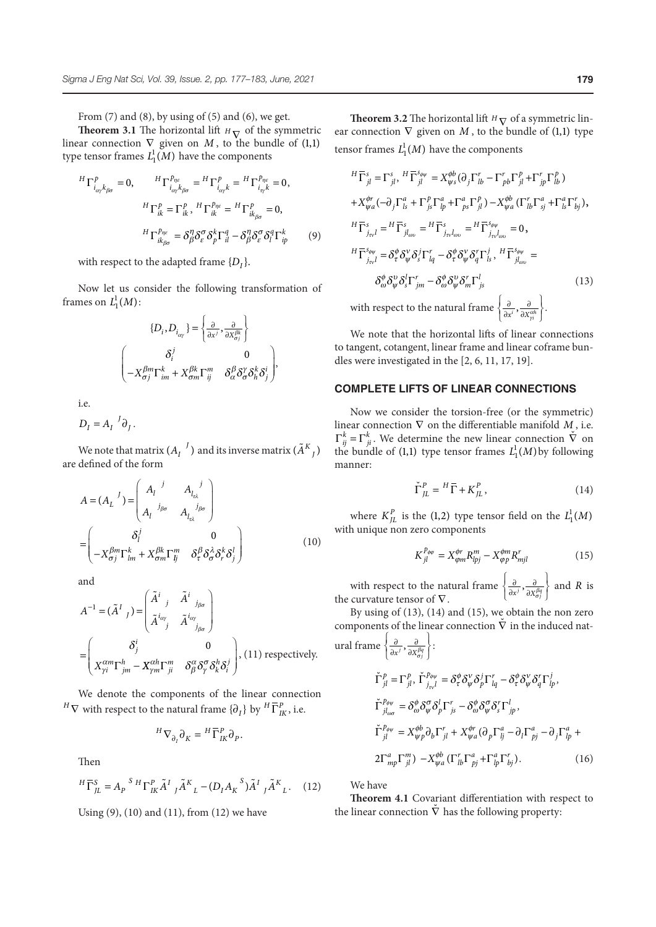From  $(7)$  and  $(8)$ , by using of  $(5)$  and  $(6)$ , we get.

**Theorem 3.1** The horizontal lift  $H_{\nabla}$  of the symmetric linear connection  $\nabla$  given on *M*, to the bundle of (1,1) type tensor frames  $L^1_1(M)$  have the components

$$
{}^{H}\Gamma_{i_{\alpha\gamma}k_{\beta\sigma}}^{p} = 0, \qquad {}^{H}\Gamma_{i_{\alpha\gamma}k_{\beta\sigma}}^{p_{\eta\epsilon}} = {}^{H}\Gamma_{i_{\alpha\gamma}}^{p} = {}^{H}\Gamma_{i_{\gamma}k}^{p_{\eta\epsilon}} = 0,
$$
  

$$
{}^{H}\Gamma_{ik}^{p} = \Gamma_{ik}^{p}, {}^{H}\Gamma_{ik}^{p_{\eta\epsilon}} = {}^{H}\Gamma_{ik_{\beta\sigma}}^{p} = 0,
$$
  

$$
{}^{H}\Gamma_{ik_{\beta\sigma}}^{p_{\eta\epsilon}} = \delta_{\beta}^{n}\delta_{\epsilon}^{\sigma}\delta_{p}^{k}\Gamma_{il}^{q} - \delta_{\beta}^{n}\delta_{\epsilon}^{\sigma}\delta_{l}^{q}\Gamma_{ip}^{k} \qquad (9)
$$

with respect to the adapted frame  $\{D_t\}$ .

Now let us consider the following transformation of frames on  $L^1_1(M)$ :

$$
\{D_i, D_{i_{\alpha\gamma}}\} = \begin{cases} \frac{\partial}{\partial x^j}, \frac{\partial}{\partial X_{\sigma j}^{\beta k}} \\ 0, \end{cases}
$$

$$
\begin{pmatrix} \delta_i^j & 0 \\ -X_{\sigma j}^{\beta m} \Gamma_{im}^k + X_{\sigma m}^{\beta k} \Gamma_{ij}^m & \delta_\alpha^\beta \delta_\sigma^\gamma \delta_\hbar^k \delta_j^i \end{pmatrix},
$$

i.e.

$$
D_I = A_I^{\ \ J} \partial_J.
$$

We note that matrix  $(A_I^{-J})$  and its inverse matrix  $(\tilde{A}^K)_J$ are defined of the form

$$
A = (A_L^{\ j}) = \begin{pmatrix} A_l^{\ j} & A_{l_{\tau\lambda}}^{\ j} \\ A_l^{\ j_{\beta\sigma}} & A_{l_{\tau\lambda}}^{\ j_{\beta\sigma}} \end{pmatrix}
$$

$$
= \begin{pmatrix} \delta_l^j & 0 \\ -X_{\sigma j}^{\beta m} \Gamma_{lm}^k + X_{\sigma m}^{\beta k} \Gamma_{lj}^m & \delta_r^{\beta} \delta_{\sigma}^{\lambda} \delta_r^k \delta_j^l \end{pmatrix}
$$
(10)

and

$$
A^{-1} = (\tilde{A}^I_{\ j}) = \begin{pmatrix} \tilde{A}^i_{\ j} & \tilde{A}^i_{\ j_{\beta\sigma}} \\ \tilde{A}^{i_{\alpha\gamma}}_{\ j} & \tilde{A}^{i_{\alpha\gamma}}_{\ j_{\beta\sigma}} \end{pmatrix}
$$
  
= 
$$
\begin{pmatrix} \delta^i_j & 0 \\ X^{\alpha m}_{\gamma i} \Gamma^h_{jm} - X^{\alpha h}_{\gamma m} \Gamma^m_{ji} & \delta^\alpha_\beta \delta^\sigma_\gamma \delta^h_\kappa \delta^j_i \end{pmatrix}, (11) \text{ respectively.}
$$

We denote the components of the linear connection  $H \nabla$  with respect to the natural frame  $\{\partial_I\}$  by  $^H \overline{\Gamma}^P_{IK}$ , i.e.

$$
{}^H\nabla_{\partial_I}\partial_K = {}^H\overline{\Gamma}{}^P_{IK}\partial_P.
$$

Then

$$
{}^{H}\overline{\Gamma}_{JL}^{S} = A_{P} {}^{S} {}^{H} \Gamma_{IK}^{P} \tilde{A}^{I} {}_{J} \tilde{A}^{K} {}_{L} - (D_{I} A_{K} {}^{S}) \tilde{A}^{I} {}_{J} \tilde{A}^{K} {}_{L}. \quad (12)
$$

Using (9), (10) and (11), from (12) we have

**Theorem 3.2** The horizontal lift  $H_{\nabla}$  of a symmetric linear connection  $\nabla$  given on *M*, to the bundle of (1,1) type tensor frames  $L_1^1(M)$  have the components

$$
{}^{H}\overline{\Gamma}_{jl}^{s} = \Gamma_{jl}^{s}, {}^{H}\overline{\Gamma}_{jl}^{s_{\phi\psi}} = X_{\psi s}^{\phi b}(\partial_{j}\Gamma_{lb}^{r} - \Gamma_{pb}^{r}\Gamma_{jl}^{p} + \Gamma_{jp}^{r}\Gamma_{lb}^{p})
$$
  
+
$$
X_{\psi a}^{\phi r}(-\partial_{j}\Gamma_{ls}^{a} + \Gamma_{js}^{p}\Gamma_{lp}^{a} + \Gamma_{ps}^{a}\Gamma_{jl}^{p}) - X_{\psi a}^{\phi b}(\Gamma_{lb}^{r}\Gamma_{sj}^{a} + \Gamma_{ls}^{a}\Gamma_{bj}^{r}),
$$
  

$$
{}^{H}\overline{\Gamma}_{j_{rv}^{s}}^{s} = {}^{H}\overline{\Gamma}_{jl_{\omega v}}^{s} = {}^{H}\overline{\Gamma}_{j_{rv}l_{\omega v}}^{s} = {}^{H}\overline{\Gamma}_{j_{rv}l_{\omega v}}^{s} = 0,
$$
  

$$
{}^{H}\overline{\Gamma}_{j_{rv}^{s}}^{s_{\phi\psi}} = \delta_{r}^{\phi}\delta_{\psi}^{\nu}\delta_{s}^{j}\Gamma_{lq}^{r} - \delta_{r}^{\phi}\delta_{\psi}^{\nu}\delta_{q}^{r}\Gamma_{ls}^{j}, {}^{H}\overline{\Gamma}_{jl_{\omega v}}^{s_{\phi\psi}} =
$$
  

$$
\delta_{\omega}^{\phi}\delta_{\psi}^{v}\delta_{s}^{l}\Gamma_{jm}^{r} - \delta_{\omega}^{\phi}\delta_{\psi}^{v}\delta_{m}^{r}\Gamma_{js}^{l}
$$
(13)  
with respect to the natural frame  $\left\{\frac{\partial}{\partial x^{i}}, \frac{\partial}{\partial x_{rn}^{\alpha h}}\right\}.$ 

We note that the horizontal lifts of linear connections to tangent, cotangent, linear frame and linear coframe bundles were investigated in the [2, 6, 11, 17, 19].

# **COMPLETE LIFTS OF LINEAR CONNECTIONS**

Now we consider the torsion-free (or the symmetric) linear connection  $\nabla$  on the differentiable manifold  $M$ , i.e.  $\Gamma_{ij}^k = \Gamma_{ji}^k$ . We determine the new linear connection  $\check{\nabla}$  on the bundle of (1,1) type tensor frames  $L_1^1(M)$  by following manner:

$$
\check{\Gamma}_{IL}^P = {}^H \overline{\Gamma} + K_{IL}^P, \qquad (14)
$$

where  $K_{JL}^P$  is the (1,2) type tensor field on the  $L_1^1(M)$ with unique non zero components

$$
K_{jl}^{p_{\phi\phi}} = X_{\phi m}^{\phi r} R_{lpj}^{m} - X_{\phi p}^{\phi m} R_{mjl}^{r}
$$
 (15)

with respect to the natural frame  $\begin{cases} \frac{\partial}{\partial x} \end{cases}$ ∂ ∂  $\left\{\right\}$  $\left\{\frac{\partial}{\partial x^j}, \frac{\partial}{\partial x^{\beta q}}\right\}$  and *R* is the curvature tensor of ∇.

By using of (13), (14) and (15), we obtain the non zero components of the linear connection  $\overline{V}$  in the induced natural frame  $\frac{\partial}{\partial x}$ ∂ ∂  $\begin{array}{c} \begin{array}{c} \end{array} \\ \begin{array}{c} \end{array} \end{array}$  $\frac{\partial}{\partial x^j}$ ,  $\frac{\partial}{\partial x_{\sigma j}^{\beta q}}$ :  $\check{\Gamma}^p_{jl} = \Gamma^p_{jl}, \ \check{\Gamma}^{p_{\phi\psi}}_{j_{\tau\nu}l} = \delta^{\phi}_{\tau} \delta^{\nu}_{\psi} \delta^j_{\rho} \Gamma^r_{lq} - \delta^{\phi}_{\tau} \delta^{\nu}_{\psi} \delta^r_{q} \Gamma^j_{lp},$ 

$$
\tilde{\Gamma}^{p_{\phi\psi}}_{jl_{\omega\sigma}} = \delta^{\phi}_{\omega} \delta^{\sigma}_{\psi} \delta^l_{p} \Gamma^r_{js} - \delta^{\phi}_{\omega} \delta^{\sigma}_{\psi} \delta^r_{s} \Gamma^l_{jp},
$$
\n
$$
\tilde{\Gamma}^{p_{\phi\psi}}_{jl} = X^{q b}_{\psi p} \partial_b \Gamma^r_{jl} + X^{q r}_{\psi a} (\partial_p \Gamma^a_{lj} - \partial_l \Gamma^a_{pj} - \partial_j \Gamma^a_{lp} + 2 \Gamma^a_{mp} \Gamma^m_{jl}) - X^{q b}_{\psi a} (\Gamma^r_{lb} \Gamma^a_{pj} + \Gamma^a_{lp} \Gamma^r_{bj}). \tag{16}
$$

We have

**Theorem 4.1** Covariant differentiation with respect to the linear connection  $\nabla$  has the following property: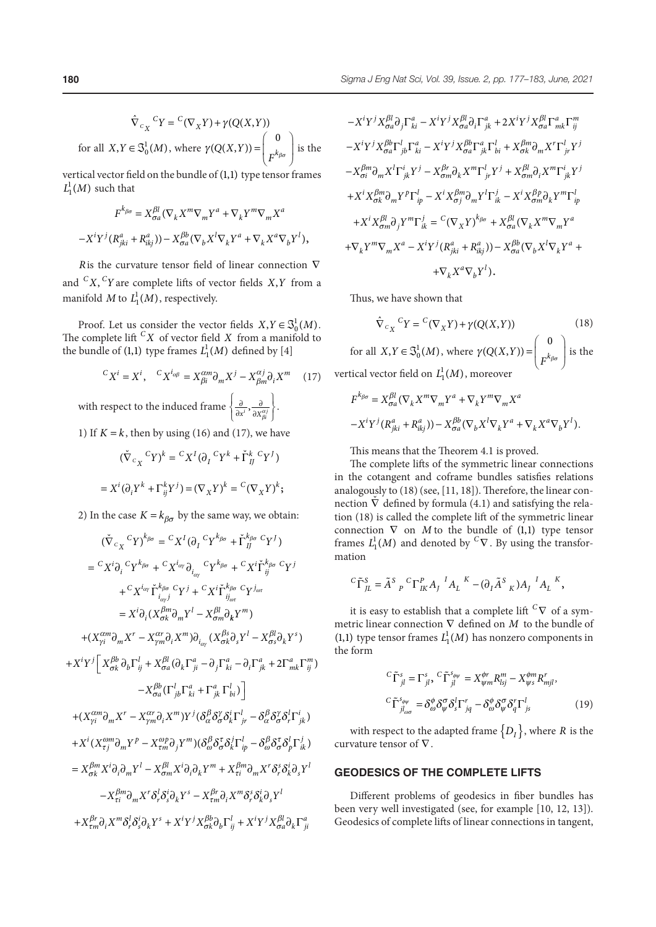$$
\hat{\nabla}_{c_X}^C Y = \frac{C(\nabla_X Y) + \gamma(Q(X, Y))}{\gamma(Q(X, Y))} = \begin{pmatrix} 0 \\ \frac{1}{2} & \text{if } P(X, Y) \end{pmatrix}
$$

vertical vector field on the bundle of  $(1,1)$  type tensor frames  $L^1_1(M)$  such that

$$
\label{eq:1} \begin{array}{c} F^{k_{\beta\sigma}}=X_{\sigma a}^{\beta l}(\nabla_{k}X^{m}\nabla_{m}Y^{a}+\nabla_{k}Y^{m}\nabla_{m}X^{a}\\ \\ -X^{i}Y^{j}(R^{a}_{jki}+R^{a}_{ikj})) -X_{\sigma a}^{\beta b}(\nabla_{b}X^{l}\nabla_{k}Y^{a}+\nabla_{k}X^{a}\nabla_{b}Y^{l}), \end{array}
$$

*R*is the curvature tensor field of linear connection ∇ and <sup>C</sup>X, <sup>C</sup>Y are complete lifts of vector fields  $X, Y$  from a manifold  $M$  to  $L^1_1(M)$ , respectively.

Proof. Let us consider the vector fields  $X, Y \in \mathcal{S}_0^1(M)$ . The complete lift  ${}^{C}X$  of vector field  $X$  from a manifold to the bundle of  $(1,1)$  type frames  $L_1^1(M)$  defined by  $[4]$ 

$$
{}^{C}X^{i} = X^{i}, \quad {}^{C}X^{i_{\alpha\beta}} = X^{\alpha m}_{\beta i}\partial_{m}X^{j} - X^{\alpha j}_{\beta m}\partial_{i}X^{m}
$$
 (17)  
with respect to the induced frame  $\left\{\frac{\partial}{\partial x^{i}}, \frac{\partial}{\partial X^{\alpha j}_{\beta i}}\right\}.$ 

1) If  $K = k$ , then by using (16) and (17), we have

$$
(\breve{\nabla}_{c_X}^{\phantom{c_X}C}Y)^k = {^C}X^I(\partial_I^{\phantom{I}} C Y^k + \breve{\Gamma}_{IJ}^k {^C}Y^J)
$$

$$
= X^i(\partial_i Y^k + \Gamma_{ij}^k Y^j) = (\nabla_X Y)^k = {^C}(\nabla_X Y)^k;
$$

2) In the case  $K = k_{\beta\sigma}$  by the same way, we obtain:

$$
(\breve{\nabla}_{C_X}{}^{C_Y})^{k_{\beta\sigma}} = {}^{C_X}I(\partial_I {}^{C_Y}{}^{k_{\beta\sigma}} + \breve{\Gamma}_{IJ}^{k_{\beta\sigma}} {}^{C_Y}J)
$$
\n
$$
= {}^{C_X}i\partial_i {}^{C_Y}{}^{k_{\beta\sigma}} + {}^{C_X}i_{\alpha\gamma} \partial_i {}_{\alpha\gamma} {}^{C_Y}{}^{k_{\beta\sigma}} + {}^{C_X}i\breve{\Gamma}_{ij}^{k_{\beta\sigma}} {}^{C_Y}J
$$
\n
$$
+ {}^{C_X}i_{\alpha\gamma} \breve{\Gamma}_{i_{\alpha\gamma}j}^{k_{\beta\sigma}} {}_{\gamma}Y^j + {}^{C_X}i\breve{\Gamma}_{ij_{\alpha\tau}}^{k_{\beta\sigma}} {}_{\gamma}Y^j{}_{\alpha\tau}
$$
\n
$$
= X^i\partial_i (X^{\beta m}_{\sigma k} \partial_m Y^l - X^{\beta l}_{\sigma m} \partial_k Y^m)
$$
\n
$$
+ (X^{\alpha m}_{\gamma i} \partial_m X^r - X^{\alpha r}_{\gamma m} \partial_i X^m) \partial_{i_{\alpha\gamma}} (X^{\beta s}_{\sigma k} \partial_s Y^l - X^{\beta l}_{\sigma s} \partial_k Y^s)
$$
\n
$$
+ X^i Y^j \Big[ X^{\beta b}_{\sigma k} \partial_b \Gamma^l_{ij} + X^{\beta l}_{\sigma a} (\partial_k \Gamma^a_{ji} - \partial_j \Gamma^a_{ki} - \partial_i \Gamma^a_{jk} + 2 \Gamma^a_{mk} \Gamma^m_{ij})
$$
\n
$$
- X^{\beta b}_{\sigma a} (\Gamma^l_{jb} \Gamma^a_{ki} + \Gamma^a_{jk} \Gamma^l_{bi}) \Big]
$$
\n
$$
+ (X^{\alpha m}_{\gamma i} \partial_m X^r - X^{\alpha r}_{\gamma m} \partial_i X^m) Y^j (\delta^{\beta}_{\alpha} \delta^{\gamma}_{\sigma} \delta^i_k \Gamma^l_{ij} - \delta^{\beta}_{\alpha} \delta^{\gamma}_{\sigma} \delta^j_{\gamma} \Gamma^i_{jk})
$$
\n
$$
+ X^i (X^{\alpha m}_{\tau j} \partial_m Y^p - X^{\alpha p}_{\tau m} \partial_j Y^m) (\delta^{\beta}_{\omega} \delta^{\gamma}_{\sigma} \delta^i_k \Gamma^l_{ip} - \delta^{\beta}_{
$$

$$
-X^{i}Y^{j}X^{βl}_{\sigma a}\partial_{j}\Gamma^{a}_{ki} - X^{i}Y^{j}X^{βl}_{\sigma a}\partial_{i}\Gamma^{a}_{jk} + 2X^{i}Y^{j}X^{βl}_{\sigma a}\Gamma^{a}_{mk}\Gamma^{m}_{ij}
$$
  
\n
$$
-X^{i}Y^{j}X^{βb}_{\sigma a}\Gamma^{l}_{jb}\Gamma^{a}_{ki} - X^{i}Y^{j}X^{βb}_{\sigma a}\Gamma^{a}_{jk}\Gamma^{l}_{bi} + X^{βm}_{\sigma k}\partial_{m}X^{r}\Gamma^{l}_{jr}Y^{j}
$$
  
\n
$$
-X^{βm}_{\sigma i}\partial_{m}X^{l}\Gamma^{i}_{jk}Y^{j} - X^{βr}_{\sigma m}\partial_{k}X^{m}\Gamma^{l}_{jr}Y^{j} + X^{βl}_{\sigma m}\partial_{i}X^{m}\Gamma^{i}_{jk}Y^{j}
$$
  
\n
$$
+X^{i}X^{βm}_{\sigma k}\partial_{m}Y^{p}\Gamma^{l}_{ip} - X^{i}X^{βm}_{\sigma j}\partial_{m}Y^{l}\Gamma^{j}_{ik} - X^{i}X^{βp}_{\sigma m}\partial_{k}Y^{m}\Gamma^{l}_{ip}
$$
  
\n
$$
+X^{i}X^{βl}_{\sigma m}\partial_{j}Y^{m}\Gamma^{j}_{ik} = {^C(\nabla_{X}Y)^{k_{\beta\sigma}}} + X^{βl}_{\sigma a}(\nabla_{k}X^{m}\nabla_{m}Y^{a}
$$
  
\n
$$
+ \nabla_{k}Y^{m}\nabla_{m}X^{a} - X^{i}Y^{j}(R^{a}_{jki} + R^{a}_{ikj})) - X^{βb}_{\sigma a}(\nabla_{b}X^{l}\nabla_{k}Y^{a} +
$$
  
\n
$$
+ \nabla_{k}X^{a}\nabla_{b}Y^{l}).
$$

Thus, we have shown that

$$
\hat{\nabla}_{c_X}^{\ C_Y} = {}^C(\nabla_X Y) + \gamma(Q(X, Y)) \tag{18}
$$

for all  $X, Y \in \mathfrak{S}_0^1(M)$ , where  $\gamma(Q(X, Y)) = \begin{vmatrix} F^{k_{\beta c}} \end{vmatrix}$ ſ l  $\overline{\phantom{a}}$  $\overline{a}$  $\bigg)$ I  $\mathbf{0}$  is the vertical vector field on  $L^1_1(M)$ , moreover

$$
\label{eq:1} \begin{split} &F^{k_{\beta\sigma}}=X_{\sigma a}^{\beta l}(\nabla_{k}X^{m}\nabla_{m}Y^{a}+\nabla_{k}Y^{m}\nabla_{m}X^{a}\\ &-X^{i}Y^{j}(R^{a}_{jki}+R^{a}_{ikj})) -X_{\sigma a}^{\beta b}(\nabla_{b}X^{l}\nabla_{k}Y^{a}+\nabla_{k}X^{a}\nabla_{b}Y^{l}). \end{split}
$$

This means that the Theorem 4.1 is proved.

The complete lifts of the symmetric linear connections in the cotangent and coframe bundles satisfies relations analogously to (18) (see, [11, 18]). Therefore, the linear connection  $\nabla$  defined by formula (4.1) and satisfying the relation (18) is called the complete lift of the symmetric linear connection  $\nabla$  on *M* to the bundle of (1,1) type tensor frames  $L_1^1(M)$  and denoted by <sup>C</sup>V. By using the transformation

$$
{}^C\widetilde{\Gamma}^S_{JL}=\widetilde{A}^S\,{}_P\, {}^C\Gamma^P_{IK}A_J\, \, {}^IA_L\, \, {}^K-(\partial_I\widetilde{A}^S\,{}_K)A_J\, \, {}^IA_L\, \, {}^K,
$$

it is easy to establish that a complete lift *<sup>C</sup>*∇ of a symmetric linear connection ∇ defined on *M* to the bundle of  $(1,1)$  type tensor frames  $L_1^1(M)$  has nonzero components in the form

$$
{}^{C}\tilde{\Gamma}^{s}_{jl} = \Gamma^{s}_{jl}, {}^{C}\tilde{\Gamma}^{s_{\phi\psi}}_{jl} = X^{\phi r}_{\psi m} R^{m}_{lsj} - X^{\phi m}_{\psi s} R^{r}_{mjl},
$$

$$
{}^{C}\tilde{\Gamma}^{s_{\phi\psi}}_{jl} = \delta^{\phi}_{\omega} \delta^{\sigma}_{\psi} \delta^l_{s} \Gamma^{r}_{jq} - \delta^{\phi}_{\omega} \delta^{\sigma}_{\psi} \delta^r_{q} \Gamma^{l}_{js}
$$
(19)

with respect to the adapted frame  $\{D_I\}$ , where *R* is the curvature tensor of  $\nabla$ .

# **GEODESICS OF THE COMPLETE LIFTS**

Different problems of geodesics in fiber bundles has been very well investigated (see, for example [10, 12, 13]). Geodesics of complete lifts of linear connections in tangent,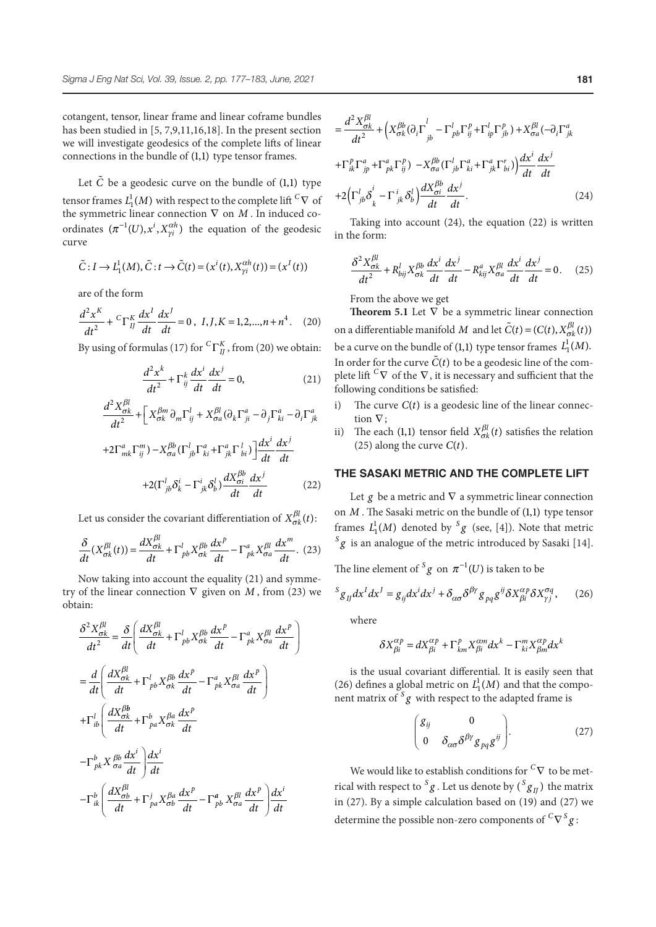cotangent, tensor, linear frame and linear coframe bundles has been studied in [5, 7,9,11,16,18]. In the present section we will investigate geodesics of the complete lifts of linear connections in the bundle of  $(1,1)$  type tensor frames.

Let  $\tilde{C}$  be a geodesic curve on the bundle of  $(1,1)$  type tensor frames  $L^1_1(M)$  with respect to the complete lift  ${}^C \nabla$  of the symmetric linear connection ∇ on *M* . In induced coordinates  $(\pi^{-1}(U), x^i, X_{\gamma i}^{ \alpha h})$  the equation of the geodesic curve

$$
\tilde{C}: I \to L_1^1(M), \tilde{C}: t \to \tilde{C}(t) = (x^i(t), X_{\gamma i}^{ch}(t)) = (x^I(t))
$$

are of the form

$$
\frac{d^2x^K}{dt^2} + {^C\Gamma_{IJ}^K} \frac{dx^I}{dt} \frac{dx^J}{dt} = 0, I, J, K = 1, 2, ..., n + n^4.
$$
 (20)

By using of formulas (17) for  ${}^{C}\Gamma_{IJ}^{K}$ , from (20) we obtain:

$$
\frac{d^2x^k}{dt^2} + \Gamma_{ij}^k \frac{dx^i}{dt} \frac{dx^j}{dt} = 0,
$$
\n(21)

$$
\frac{d^2 X_{\sigma k}^{\beta l}}{dt^2} + \left[ X_{\sigma k}^{\beta m} \partial_m \Gamma_{ij}^l + X_{\sigma a}^{\beta l} (\partial_k \Gamma_{ji}^a - \partial_j \Gamma_{ki}^a - \partial_i \Gamma_{jk}^a \right]
$$

$$
+2\Gamma^{a}_{mk}\Gamma^{m}_{ij})-X^{Bb}_{\sigma a}(\Gamma^{l}_{jb}\Gamma^{a}_{ki}+\Gamma^{a}_{jk}\Gamma^{l}_{bi})\bigg]\frac{dx^{i}}{dt}\frac{dx^{j}}{dt}
$$

$$
+2(\Gamma^{l}_{jb}\delta^{i}_{k}-\Gamma^{i}_{jk}\delta^{l}_{b})\frac{dX^{Bb}_{\sigma i}}{dt}\frac{dx^{j}}{dt}
$$
(22)

Let us consider the covariant differentiation of  $X_{\sigma k}^{\beta l}(t)$ :

$$
\frac{\delta}{dt}(X_{\sigma k}^{\beta l}(t)) = \frac{dX_{\sigma k}^{\beta l}}{dt} + \Gamma_{pb}^{l} X_{\sigma k}^{\beta b} \frac{dx^{p}}{dt} - \Gamma_{pk}^{a} X_{\sigma a}^{\beta l} \frac{dx^{m}}{dt}.
$$
 (23)

Now taking into account the equality (21) and symmetry of the linear connection  $\nabla$  given on *M*, from (23) we obtain:

$$
\frac{\delta^2 X_{\sigma k}^{\beta l}}{dt^2} = \frac{\delta}{dt} \left( \frac{dX_{\sigma k}^{\beta l}}{dt} + \Gamma_{pb}^l X_{\sigma k}^{\beta b} \frac{dx^p}{dt} - \Gamma_{pk}^a X_{\sigma a}^{\beta l} \frac{dx^p}{dt} \right)
$$
\n
$$
= \frac{d}{dt} \left( \frac{dX_{\sigma k}^{\beta l}}{dt} + \Gamma_{pb}^l X_{\sigma k}^{\beta b} \frac{dx^p}{dt} - \Gamma_{pk}^a X_{\sigma a}^{\beta l} \frac{dx^p}{dt} \right)
$$
\n
$$
+ \Gamma_{ib}^l \left( \frac{dX_{\sigma k}^{\beta b}}{dt} + \Gamma_{pa}^b X_{\sigma k}^{\beta a} \frac{dx^p}{dt} \right)
$$
\n
$$
- \Gamma_{pk}^b X_{\sigma a}^{\beta b} \frac{dx^i}{dt} \right) \frac{dx^i}{dt}
$$
\n
$$
- \Gamma_{ik}^b \left( \frac{dX_{\sigma k}^{\beta l}}{dt} + \Gamma_{pa}^j X_{\sigma b}^{\beta a} \frac{dx^p}{dt} - \Gamma_{pb}^a X_{\sigma a}^{\beta l} \frac{dx^p}{dt} \right) \frac{dx^i}{dt}
$$

$$
= \frac{d^2 X_{\sigma k}^{\beta l}}{dt^2} + \left(X_{\sigma k}^{\beta b} (\partial_i \Gamma^l_{jb} - \Gamma^l_{pb} \Gamma^p_{ij} + \Gamma^l_{ip} \Gamma^p_{jb}) + X_{\sigma a}^{\beta l} (-\partial_i \Gamma^a_{jk} + \Gamma^p_{ik} \Gamma^a_{jp} + \Gamma^a_{ik} \Gamma^p_{ij}) - X_{\sigma a}^{\beta b} (\Gamma^l_{jb} \Gamma^a_{ki} + \Gamma^a_{jk} \Gamma^r_{bi}) \right) \frac{dx^i}{dt} \frac{dx^j}{dt}
$$

$$
+ 2\left(\Gamma^l_{jb} \delta^i_{k} - \Gamma^i_{jk} \delta^l_{b}\right) \frac{dX_{\sigma i}^{\beta b}}{dt} \frac{dx^j}{dt}.
$$
(24)

Taking into account (24), the equation (22) is written in the form:

$$
\frac{\delta^2 X_{\sigma k}^{\beta l}}{dt^2} + R_{bij}^l X_{\sigma k}^{\beta b} \frac{dx^i}{dt} \frac{dx^j}{dt} - R_{kij}^a X_{\sigma a}^{\beta l} \frac{dx^i}{dt} \frac{dx^j}{dt} = 0. \quad (25)
$$

From the above we get

**Theorem 5.1** Let  $\nabla$  be a symmetric linear connection on a differentiable manifold *M* and let  $\tilde{C}(t) = (C(t), X_{\sigma k}^{\beta l}(t))$ be a curve on the bundle of (1,1) type tensor frames  $\,L^1_1(M).$ In order for the curve  $\tilde{C}(t)$  to be a geodesic line of the complete lift ${}^C\nabla$  of the  $\nabla$  , it is necessary and sufficient that the following conditions be satisfied:

- i) The curve  $C(t)$  is a geodesic line of the linear connection  $\nabla$ ;
- ii) The each (1,1) tensor field  $X_{\sigma k}^{\beta l}(t)$  satisfies the relation  $(25)$  along the curve  $C(t)$ .

### **THE SASAKI METRIC AND THE COMPLETE LIFT**

Let *g* be a metric and  $\nabla$  a symmetric linear connection on *M* . The Sasaki metric on the bundle of (1,1) type tensor frames  $L_1^1(M)$  denoted by <sup>S</sup> *g* (see, [4]). Note that metric  ${}^{S}g$  is an analogue of the metric introduced by Sasaki [14].

The line element of <sup>*S*</sup> *g* on  $\pi^{-1}(U)$  is taken to be

$$
{}^{S}g_{IJ}dx^{I}dx^{J} = g_{ij}dx^{i}dx^{j} + \delta_{\alpha\sigma}\delta^{\beta\gamma}g_{pq}g^{ij}\delta X^{\alpha p}_{\beta i}\delta X^{\sigma q}_{\gamma j}, \qquad (26)
$$

where

$$
\delta X_{\beta i}^{\alpha p}=dX_{\beta i}^{\alpha p}+\Gamma_{km}^{p}X_{\beta i}^{\alpha m}dx^{k}-\Gamma_{ki}^{m}X_{\beta m}^{\alpha p}dx^{k}
$$

is the usual covariant differential. It is easily seen that (26) defines a global metric on  $L_1^1(M)$  and that the component matrix of  $S_g$  with respect to the adapted frame is

$$
\begin{pmatrix} g_{ij} & 0 \\ 0 & \delta_{\alpha\sigma} \delta^{\beta\gamma} g_{pq} g^{ij} \end{pmatrix} . \tag{27}
$$

We would like to establish conditions for *<sup>C</sup>*∇ to be metrical with respect to  ${}^S g$  . Let us denote by  $({}^S g_{IJ})$  the matrix in (27). By a simple calculation based on (19) and (27) we determine the possible non-zero components of  ${}^{C}\nabla {}^{S}g$ :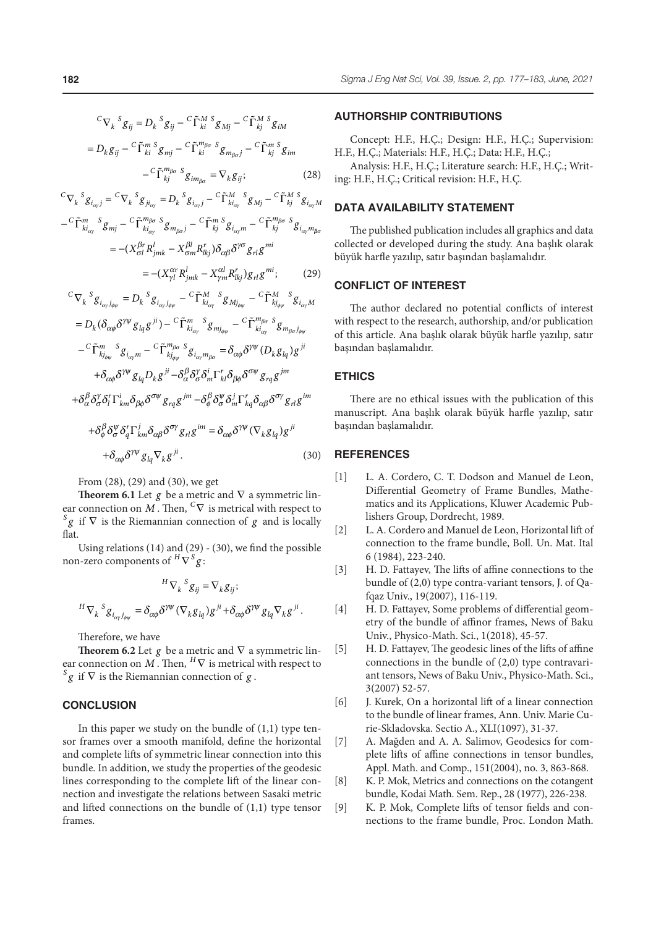$$
{}^{C}\nabla_{k} {}^{S}g_{ij} = D_{k} {}^{S}g_{ij} - {}^{C}\tilde{\Gamma}_{ki}^{M} {}^{S}g_{Mj} - {}^{C}\tilde{\Gamma}_{kj}^{M} {}^{S}g_{iM}
$$

$$
= D_{k}g_{ij} - {}^{C}\tilde{\Gamma}_{ki}^{m} {}^{S}g_{mj} - {}^{C}\tilde{\Gamma}_{ki}^{m} {}^{S}g_{m}{}_{\beta\sigma} {}^{j} - {}^{C}\tilde{\Gamma}_{kj}^{m} {}^{S}g_{im}
$$

 $-\frac{C\tilde{\Gamma}_{kj}^{m_{\beta\sigma}}S}{}_{\mathcal{S}_{im_{\beta\sigma}}} = \nabla_k \mathcal{S}_{ij};$  (28)  ${}^{C}\nabla_{k}{}^{S}g_{i_{\alpha\gamma}j} = {}^{C}\nabla_{k}{}^{S}g_{ji_{\alpha\gamma}} = D_{k}{}^{S}g_{i_{\alpha\gamma}j} - {}^{C}\widetilde{\Gamma}_{ki_{\alpha\gamma}}^{M}{}^{S}g_{Mj} - {}^{C}\widetilde{\Gamma}_{kj}^{M}{}^{S}g_{i_{\alpha\gamma}M}$ 

 $-\textstyle{^C\widetilde{\Gamma}^m_{ki_{\alpha\gamma}}}^s g_{m j}-\textstyle{^C\widetilde{\Gamma}^m_{ki_{\alpha\gamma}}}^{\epsilon\beta\sigma} s} g_{m_{\beta\sigma} j}-\textstyle{^C\widetilde{\Gamma}^m_{kj}}^s g_{i_{\alpha\gamma}m}-\textstyle{^C\widetilde{\Gamma}^m_{kj\sigma}}^{\epsilon\beta\sigma} s} g_{i_{\alpha\gamma}m}$ *βσ αγ βσ αγ βσ*  $= -(X_{\sigma l}^{\beta r} R_{jmk}^l - X_{\sigma m}^{\beta l} R_{lkj}^r) \delta_{\alpha\beta} \delta^{\gamma\sigma} g_{rl} g^{mi}$  $= -(X_{\gamma l}^{\alpha r} R_{jmk}^{l} - X_{\gamma m}^{\alpha l} R_{lkj}^{r}) g_{rl} g^{mi};$  (29)

$$
{}^{C}\nabla_{k}{}^{S}g_{i_{\alpha\gamma}j_{\phi\psi}} = D_{k}{}^{S}g_{i_{\alpha\gamma}j_{\phi\psi}} - {}^{C}\tilde{\Gamma}_{ki_{\alpha\gamma}}^{M}{}^{S}g_{Mj_{\phi\psi}} - {}^{C}\tilde{\Gamma}_{kj_{\phi\psi}}^{M}{}^{S}g_{i_{\alpha\gamma}M}
$$
  
\n
$$
= D_{k}(\delta_{\alpha\phi}\delta^{\gamma\psi}g_{lq}g^{ji}) - {}^{C}\tilde{\Gamma}_{ki_{\alpha\gamma}}^{m}{}^{S}g_{mj_{\phi\psi}} - {}^{C}\tilde{\Gamma}_{ki_{\alpha\gamma}}^{m_{\beta\sigma}}g_{m_{\beta\sigma}j_{\phi\psi}}
$$
  
\n
$$
- {}^{C}\tilde{\Gamma}_{kj_{\phi\psi}}^{m}{}^{S}g_{i_{\alpha\gamma}m} - {}^{C}\tilde{\Gamma}_{kj_{\phi\psi}}^{m_{\beta\sigma}}g_{i_{\alpha\gamma}m_{\beta\sigma}} = \delta_{\alpha\phi}\delta^{\gamma\psi} (D_{k}g_{lq})g^{ji}
$$
  
\n
$$
+ \delta_{\alpha\phi}\delta^{\gamma\psi}g_{lq}D_{k}g^{ji} - \delta_{\alpha}^{\beta}\delta_{\sigma}^{\gamma}\delta_{m}^{i}\Gamma_{kl}^{i}\delta_{\beta\phi}\delta^{\sigma\nu}g_{\tau q}g^{jm}
$$
  
\n
$$
+ \delta_{\alpha}^{\beta}\delta_{\sigma}^{\gamma}\delta_{l}^{i}\Gamma_{km}^{i}\delta_{\beta\phi}\delta^{\sigma\nu}g_{\tau q}g^{jm} - \delta_{\phi}^{\beta}\delta_{\sigma}^{\psi}\delta_{m}^{j}\Gamma_{kq}^{i}\delta_{\alpha\beta}\delta^{\sigma\gamma}g_{\tau l}g^{im}
$$
  
\n
$$
+ \delta_{\phi}^{\beta}\delta_{\sigma}^{\psi}\delta_{q}^{r}\Gamma_{km}^{j}\delta_{\alpha\beta}\delta^{\sigma\gamma}g_{\tau l}g^{im} = \delta_{\alpha\phi}\delta^{\gamma\psi} (\nabla_{k}g_{lq})g^{ji}
$$
  
\n
$$
+ \delta_{\alpha\phi}\delta^{\gamma\psi}g_{lq}\nabla_{k}g^{ji}.
$$
  
\n(30)

From (28), (29) and (30), we get

**Theorem 6.1** Let  $g$  be a metric and  $\nabla$  a symmetric linear connection on  $M$ . Then,  ${}^C \nabla$  is metrical with respect to  ${}^S g$  if  $\nabla$  is the Riemannian connection of *g* and is locally flat.

Using relations (14) and (29) - (30), we find the possible non-zero components of  $^H\nabla^S g$ :

$$
{}^{H}\nabla_{k}{}^{S}g_{ij} = \nabla_{k}g_{ij};
$$
  

$$
{}^{H}\nabla_{k}{}^{S}g_{i_{\alpha\gamma}j_{\phi\psi}} = \delta_{\alpha\phi}\delta^{\gamma\psi}(\nabla_{k}g_{lq})g^{ji} + \delta_{\alpha\phi}\delta^{\gamma\psi}g_{lq}\nabla_{k}g^{ji}.
$$

Therefore, we have

**Theorem 6.2** Let *g* be a metric and  $\nabla$  a symmetric linear connection on  $\overline{M}$ . Then,  $^H\nabla$  is metrical with respect to  $S_g$  if  $\nabla$  is the Riemannian connection of *g*.

## **CONCLUSION**

In this paper we study on the bundle of  $(1,1)$  type tensor frames over a smooth manifold, define the horizontal and complete lifts of symmetric linear connection into this bundle. In addition, we study the properties of the geodesic lines corresponding to the complete lift of the linear connection and investigate the relations between Sasaki metric and lifted connections on the bundle of (1,1) type tensor frames.

### **AUTHORSHIP CONTRIBUTIONS**

Concept: H.F., H.Ç.; Design: H.F., H.Ç.; Supervision: H.F., H.Ç.; Materials: H.F., H.Ç.; Data: H.F., H.Ç.;

Analysis: H.F., H.Ç.; Literature search: H.F., H.Ç.; Writing: H.F., H.Ç.; Critical revision: H.F., H.Ç.

### **DATA AVAILABILITY STATEMENT**

The published publication includes all graphics and data collected or developed during the study. Ana başlık olarak büyük harfle yazılıp, satır başından başlamalıdır.

### **CONFLICT OF INTEREST**

The author declared no potential conflicts of interest with respect to the research, authorship, and/or publication of this article. Ana başlık olarak büyük harfle yazılıp, satır başından başlamalıdır.

#### **ETHICS**

There are no ethical issues with the publication of this manuscript. Ana başlık olarak büyük harfle yazılıp, satır başından başlamalıdır.

### **REFERENCES**

- [1] L. A. Cordero, C. T. Dodson and Manuel de Leon, Differential Geometry of Frame Bundles, Mathematics and its Applications, Kluwer Academic Publishers Group, Dordrecht, 1989.
- [2] L. A. Cordero and Manuel de Leon, Horizontal lift of connection to the frame bundle, Boll. Un. Mat. Ital 6 (1984), 223-240.
- [3] H. D. Fattayev, The lifts of affine connections to the bundle of (2,0) type contra-variant tensors, J. of Qafqaz Univ., 19(2007), 116-119.
- [4] H. D. Fattayev, Some problems of differential geometry of the bundle of affinor frames, News of Baku Univ., Physico-Math. Sci., 1(2018), 45-57.
- [5] H. D. Fattayev, The geodesic lines of the lifts of affine connections in the bundle of (2,0) type contravariant tensors, News of Baku Univ., Physico-Math. Sci., 3(2007) 52-57.
- [6] J. Kurek, On a horizontal lift of a linear connection to the bundle of linear frames, Ann. Univ. Marie Curie-Skladovska. Sectio A., XLI(1097), 31-37.
- [7] A. Mağden and A. A. Salimov, Geodesics for complete lifts of affine connections in tensor bundles, Appl. Math. and Comp., 151(2004), no. 3, 863-868.
- [8] K. P. Mok, Metrics and connections on the cotangent bundle, Kodai Math. Sem. Rep., 28 (1977), 226-238.
- [9] K. P. Mok, Complete lifts of tensor fields and connections to the frame bundle, Proc. London Math.